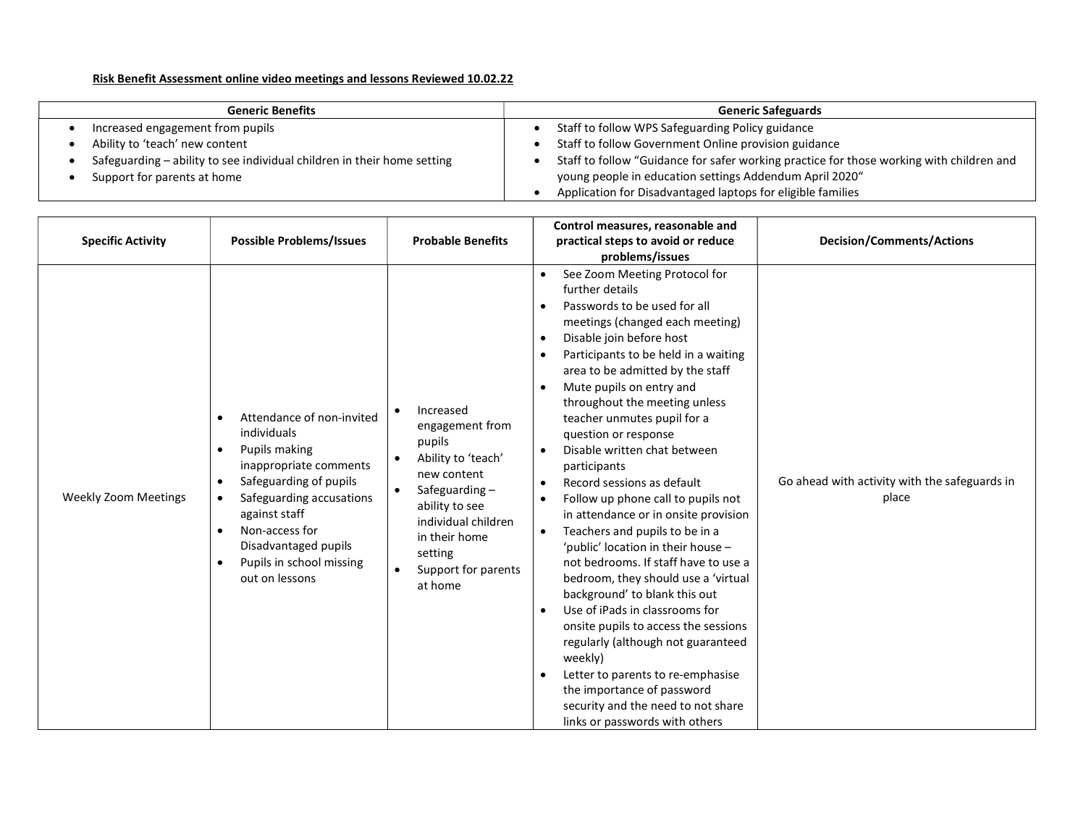## Risk Benefit Assessment online video meetings and lessons Reviewed 10.02.22

| <b>Generic Benefits</b>                                                 | <b>Generic Safeguards</b>                                                                |
|-------------------------------------------------------------------------|------------------------------------------------------------------------------------------|
| Increased engagement from pupils                                        | Staff to follow WPS Safeguarding Policy guidance                                         |
| Ability to 'teach' new content                                          | Staff to follow Government Online provision guidance                                     |
| Safeguarding - ability to see individual children in their home setting | Staff to follow "Guidance for safer working practice for those working with children and |
| Support for parents at home                                             | young people in education settings Addendum April 2020"                                  |
|                                                                         | Application for Disadvantaged laptops for eligible families                              |

| <b>Specific Activity</b>    | <b>Possible Problems/Issues</b>                                                                                                                                                                                                                                                           | <b>Probable Benefits</b>                                                                                                                                                                            | Control measures, reasonable and<br>practical steps to avoid or reduce<br>problems/issues                                                                                                                                                                                                                                                                                                                                                                                                                                                                                                                                                                                                                                                                                                                                                                                                                                                                                              | <b>Decision/Comments/Actions</b>                       |
|-----------------------------|-------------------------------------------------------------------------------------------------------------------------------------------------------------------------------------------------------------------------------------------------------------------------------------------|-----------------------------------------------------------------------------------------------------------------------------------------------------------------------------------------------------|----------------------------------------------------------------------------------------------------------------------------------------------------------------------------------------------------------------------------------------------------------------------------------------------------------------------------------------------------------------------------------------------------------------------------------------------------------------------------------------------------------------------------------------------------------------------------------------------------------------------------------------------------------------------------------------------------------------------------------------------------------------------------------------------------------------------------------------------------------------------------------------------------------------------------------------------------------------------------------------|--------------------------------------------------------|
| <b>Weekly Zoom Meetings</b> | Attendance of non-invited<br>individuals<br>Pupils making<br>inappropriate comments<br>Safeguarding of pupils<br>$\bullet$<br>Safeguarding accusations<br>$\bullet$<br>against staff<br>Non-access for<br>Disadvantaged pupils<br>Pupils in school missing<br>$\bullet$<br>out on lessons | Increased<br>engagement from<br>pupils<br>Ability to 'teach'<br>new content<br>Safeguarding-<br>ability to see<br>individual children<br>in their home<br>setting<br>Support for parents<br>at home | See Zoom Meeting Protocol for<br>further details<br>Passwords to be used for all<br>meetings (changed each meeting)<br>Disable join before host<br>$\bullet$<br>Participants to be held in a waiting<br>area to be admitted by the staff<br>Mute pupils on entry and<br>throughout the meeting unless<br>teacher unmutes pupil for a<br>question or response<br>Disable written chat between<br>participants<br>Record sessions as default<br>Follow up phone call to pupils not<br>in attendance or in onsite provision<br>Teachers and pupils to be in a<br>'public' location in their house -<br>not bedrooms. If staff have to use a<br>bedroom, they should use a 'virtual<br>background' to blank this out<br>Use of iPads in classrooms for<br>onsite pupils to access the sessions<br>regularly (although not guaranteed<br>weekly)<br>Letter to parents to re-emphasise<br>the importance of password<br>security and the need to not share<br>links or passwords with others | Go ahead with activity with the safeguards in<br>place |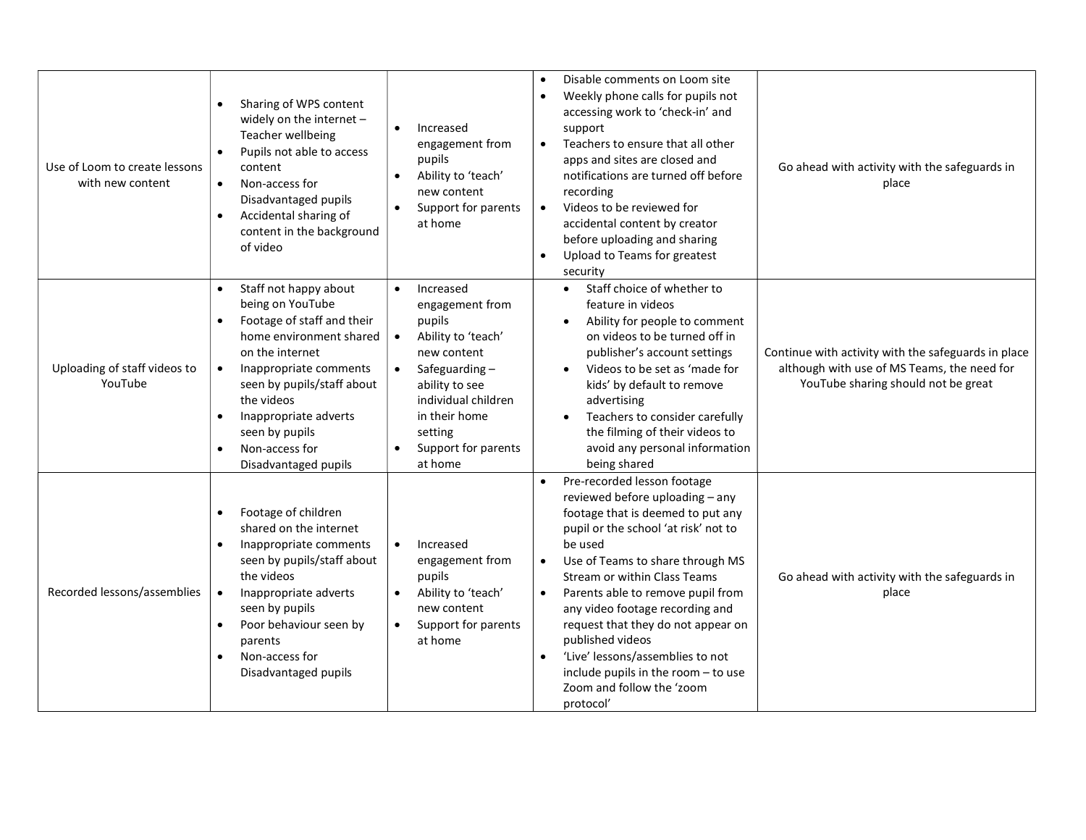| Use of Loom to create lessons<br>with new content | Sharing of WPS content<br>widely on the internet -<br>Teacher wellbeing<br>Pupils not able to access<br>content<br>Non-access for<br>$\bullet$<br>Disadvantaged pupils<br>Accidental sharing of<br>$\bullet$<br>content in the background<br>of video                                                                                | Increased<br>$\bullet$<br>engagement from<br>pupils<br>Ability to 'teach'<br>$\bullet$<br>new content<br>Support for parents<br>at home                                                                                       | Disable comments on Loom site<br>$\bullet$<br>Weekly phone calls for pupils not<br>$\bullet$<br>accessing work to 'check-in' and<br>support<br>Teachers to ensure that all other<br>$\bullet$<br>apps and sites are closed and<br>notifications are turned off before<br>recording<br>Videos to be reviewed for<br>$\bullet$<br>accidental content by creator<br>before uploading and sharing<br>Upload to Teams for greatest<br>$\bullet$<br>security                                                                   | Go ahead with activity with the safeguards in<br>place                                                                                    |
|---------------------------------------------------|--------------------------------------------------------------------------------------------------------------------------------------------------------------------------------------------------------------------------------------------------------------------------------------------------------------------------------------|-------------------------------------------------------------------------------------------------------------------------------------------------------------------------------------------------------------------------------|--------------------------------------------------------------------------------------------------------------------------------------------------------------------------------------------------------------------------------------------------------------------------------------------------------------------------------------------------------------------------------------------------------------------------------------------------------------------------------------------------------------------------|-------------------------------------------------------------------------------------------------------------------------------------------|
| Uploading of staff videos to<br>YouTube           | Staff not happy about<br>$\bullet$<br>being on YouTube<br>Footage of staff and their<br>home environment shared<br>on the internet<br>Inappropriate comments<br>$\bullet$<br>seen by pupils/staff about<br>the videos<br>Inappropriate adverts<br>$\bullet$<br>seen by pupils<br>Non-access for<br>$\bullet$<br>Disadvantaged pupils | Increased<br>$\bullet$<br>engagement from<br>pupils<br>Ability to 'teach'<br>$\bullet$<br>new content<br>Safeguarding-<br>ability to see<br>individual children<br>in their home<br>setting<br>Support for parents<br>at home | Staff choice of whether to<br>$\bullet$<br>feature in videos<br>Ability for people to comment<br>on videos to be turned off in<br>publisher's account settings<br>Videos to be set as 'made for<br>kids' by default to remove<br>advertising<br>Teachers to consider carefully<br>the filming of their videos to<br>avoid any personal information<br>being shared                                                                                                                                                       | Continue with activity with the safeguards in place<br>although with use of MS Teams, the need for<br>YouTube sharing should not be great |
| Recorded lessons/assemblies                       | Footage of children<br>$\bullet$<br>shared on the internet<br>Inappropriate comments<br>seen by pupils/staff about<br>the videos<br>Inappropriate adverts<br>$\bullet$<br>seen by pupils<br>Poor behaviour seen by<br>$\bullet$<br>parents<br>Non-access for<br>$\bullet$<br>Disadvantaged pupils                                    | Increased<br>$\bullet$<br>engagement from<br>pupils<br>Ability to 'teach'<br>new content<br>Support for parents<br>at home                                                                                                    | Pre-recorded lesson footage<br>reviewed before uploading - any<br>footage that is deemed to put any<br>pupil or the school 'at risk' not to<br>be used<br>Use of Teams to share through MS<br>$\bullet$<br>Stream or within Class Teams<br>Parents able to remove pupil from<br>$\bullet$<br>any video footage recording and<br>request that they do not appear on<br>published videos<br>'Live' lessons/assemblies to not<br>$\bullet$<br>include pupils in the room - to use<br>Zoom and follow the 'zoom<br>protocol' | Go ahead with activity with the safeguards in<br>place                                                                                    |